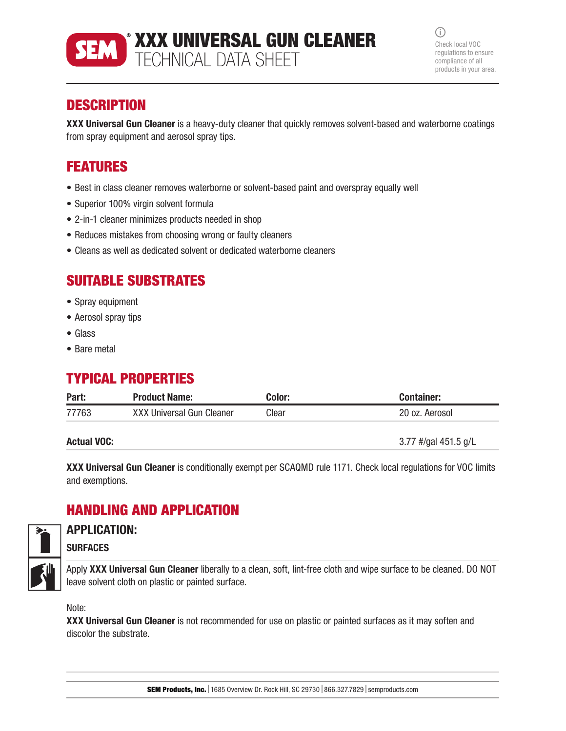

XXX UNIVERSAL GUN CLEANER TECHNICAL DATA SHEET

 $\bigcirc$ Check local VOC regulations to ensure compliance of all products in your area.

## **DESCRIPTION**

XXX Universal Gun Cleaner is a heavy-duty cleaner that quickly removes solvent-based and waterborne coatings from spray equipment and aerosol spray tips.

## FEATURES

- Best in class cleaner removes waterborne or solvent-based paint and overspray equally well
- Superior 100% virgin solvent formula
- 2-in-1 cleaner minimizes products needed in shop
- Reduces mistakes from choosing wrong or faulty cleaners
- Cleans as well as dedicated solvent or dedicated waterborne cleaners

## SUITABLE SUBSTRATES

- Spray equipment
- Aerosol spray tips
- Glass
- Bare metal

### TYPICAL PROPERTIES

| Part:              | <b>Product Name:</b>             | Color: | <b>Container:</b>    |
|--------------------|----------------------------------|--------|----------------------|
| 77763              | <b>XXX Universal Gun Cleaner</b> | Clear  | 20 oz. Aerosol       |
| <b>Actual VOC:</b> |                                  |        | 3.77 #/gal 451.5 g/L |

XXX Universal Gun Cleaner is conditionally exempt per SCAQMD rule 1171. Check local regulations for VOC limits and exemptions.

## HANDLING AND APPLICATION



# APPLICATION:

Apply XXX Universal Gun Cleaner liberally to a clean, soft, lint-free cloth and wipe surface to be cleaned. DO NOT leave solvent cloth on plastic or painted surface.

### Note:

XXX Universal Gun Cleaner is not recommended for use on plastic or painted surfaces as it may soften and discolor the substrate.